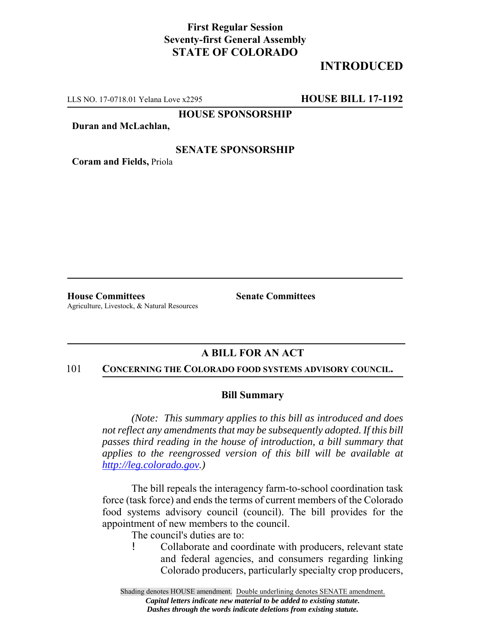## **First Regular Session Seventy-first General Assembly STATE OF COLORADO**

# **INTRODUCED**

LLS NO. 17-0718.01 Yelana Love x2295 **HOUSE BILL 17-1192**

**HOUSE SPONSORSHIP**

**Duran and McLachlan,**

### **SENATE SPONSORSHIP**

**Coram and Fields,** Priola

**House Committees Senate Committees** Agriculture, Livestock, & Natural Resources

### **A BILL FOR AN ACT**

#### 101 **CONCERNING THE COLORADO FOOD SYSTEMS ADVISORY COUNCIL.**

#### **Bill Summary**

*(Note: This summary applies to this bill as introduced and does not reflect any amendments that may be subsequently adopted. If this bill passes third reading in the house of introduction, a bill summary that applies to the reengrossed version of this bill will be available at http://leg.colorado.gov.)*

The bill repeals the interagency farm-to-school coordination task force (task force) and ends the terms of current members of the Colorado food systems advisory council (council). The bill provides for the appointment of new members to the council.

The council's duties are to:

! Collaborate and coordinate with producers, relevant state and federal agencies, and consumers regarding linking Colorado producers, particularly specialty crop producers,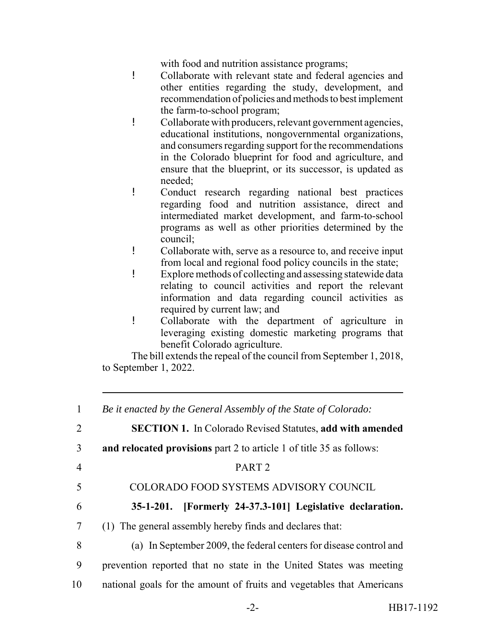with food and nutrition assistance programs;

- ! Collaborate with relevant state and federal agencies and other entities regarding the study, development, and recommendation of policies and methods to best implement the farm-to-school program;
- ! Collaborate with producers, relevant government agencies, educational institutions, nongovernmental organizations, and consumers regarding support for the recommendations in the Colorado blueprint for food and agriculture, and ensure that the blueprint, or its successor, is updated as needed;
- ! Conduct research regarding national best practices regarding food and nutrition assistance, direct and intermediated market development, and farm-to-school programs as well as other priorities determined by the council;
- ! Collaborate with, serve as a resource to, and receive input from local and regional food policy councils in the state;
- ! Explore methods of collecting and assessing statewide data relating to council activities and report the relevant information and data regarding council activities as required by current law; and
- ! Collaborate with the department of agriculture in leveraging existing domestic marketing programs that benefit Colorado agriculture.

The bill extends the repeal of the council from September 1, 2018, to September 1, 2022.

| 1              | Be it enacted by the General Assembly of the State of Colorado:       |
|----------------|-----------------------------------------------------------------------|
| 2              | <b>SECTION 1.</b> In Colorado Revised Statutes, add with amended      |
| 3              | and relocated provisions part 2 to article 1 of title 35 as follows:  |
| $\overline{4}$ | PART <sub>2</sub>                                                     |
| 5              | COLORADO FOOD SYSTEMS ADVISORY COUNCIL                                |
| 6              | [Formerly 24-37.3-101] Legislative declaration.<br>$35-1-201.$        |
| $\overline{7}$ | (1) The general assembly hereby finds and declares that:              |
| 8              | (a) In September 2009, the federal centers for disease control and    |
| 9              | prevention reported that no state in the United States was meeting    |
| 10             | national goals for the amount of fruits and vegetables that Americans |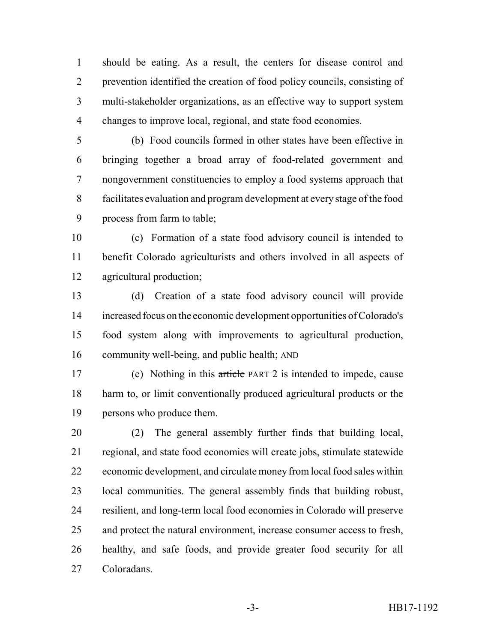should be eating. As a result, the centers for disease control and prevention identified the creation of food policy councils, consisting of multi-stakeholder organizations, as an effective way to support system changes to improve local, regional, and state food economies.

 (b) Food councils formed in other states have been effective in bringing together a broad array of food-related government and nongovernment constituencies to employ a food systems approach that facilitates evaluation and program development at every stage of the food process from farm to table;

 (c) Formation of a state food advisory council is intended to benefit Colorado agriculturists and others involved in all aspects of agricultural production;

 (d) Creation of a state food advisory council will provide increased focus on the economic development opportunities of Colorado's food system along with improvements to agricultural production, community well-being, and public health; AND

 (e) Nothing in this article PART 2 is intended to impede, cause harm to, or limit conventionally produced agricultural products or the persons who produce them.

 (2) The general assembly further finds that building local, regional, and state food economies will create jobs, stimulate statewide economic development, and circulate money from local food sales within local communities. The general assembly finds that building robust, resilient, and long-term local food economies in Colorado will preserve and protect the natural environment, increase consumer access to fresh, healthy, and safe foods, and provide greater food security for all Coloradans.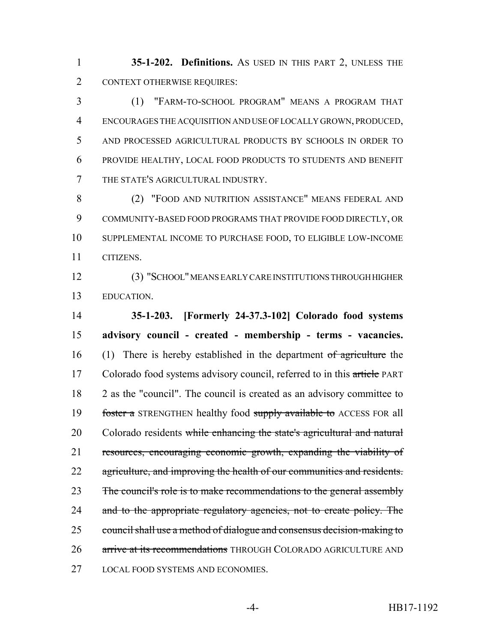**35-1-202. Definitions.** AS USED IN THIS PART 2, UNLESS THE CONTEXT OTHERWISE REQUIRES:

 (1) "FARM-TO-SCHOOL PROGRAM" MEANS A PROGRAM THAT ENCOURAGES THE ACQUISITION AND USE OF LOCALLY GROWN, PRODUCED, AND PROCESSED AGRICULTURAL PRODUCTS BY SCHOOLS IN ORDER TO PROVIDE HEALTHY, LOCAL FOOD PRODUCTS TO STUDENTS AND BENEFIT THE STATE'S AGRICULTURAL INDUSTRY.

 (2) "FOOD AND NUTRITION ASSISTANCE" MEANS FEDERAL AND COMMUNITY-BASED FOOD PROGRAMS THAT PROVIDE FOOD DIRECTLY, OR SUPPLEMENTAL INCOME TO PURCHASE FOOD, TO ELIGIBLE LOW-INCOME CITIZENS.

 (3) "SCHOOL" MEANS EARLY CARE INSTITUTIONS THROUGH HIGHER EDUCATION.

 **35-1-203. [Formerly 24-37.3-102] Colorado food systems advisory council - created - membership - terms - vacancies.** 16 (1) There is hereby established in the department of agriculture the 17 Colorado food systems advisory council, referred to in this article PART 2 as the "council". The council is created as an advisory committee to 19 foster a STRENGTHEN healthy food supply available to ACCESS FOR all 20 Colorado residents while enhancing the state's agricultural and natural resources, encouraging economic growth, expanding the viability of 22 agriculture, and improving the health of our communities and residents. 23 The council's role is to make recommendations to the general assembly 24 and to the appropriate regulatory agencies, not to create policy. The council shall use a method of dialogue and consensus decision-making to 26 arrive at its recommendations THROUGH COLORADO AGRICULTURE AND LOCAL FOOD SYSTEMS AND ECONOMIES.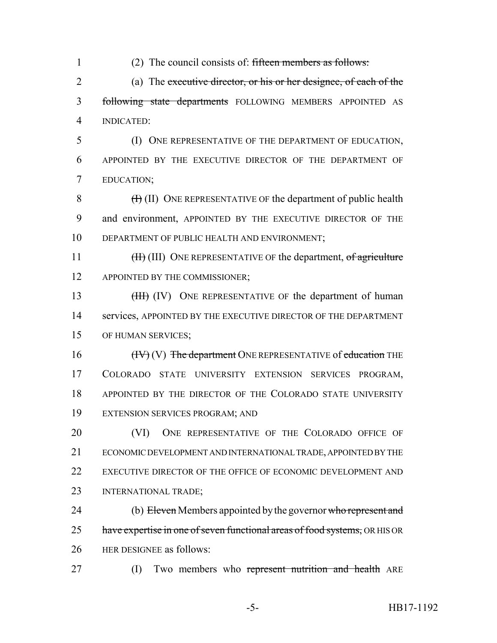1 (2) The council consists of: fifteen members as follows: 2 (a) The executive director, or his or her designee, of each of the

3 following state departments FOLLOWING MEMBERS APPOINTED AS 4 INDICATED:

5 (I) ONE REPRESENTATIVE OF THE DEPARTMENT OF EDUCATION, 6 APPOINTED BY THE EXECUTIVE DIRECTOR OF THE DEPARTMENT OF 7 EDUCATION;

8  $(H)$  (II) ONE REPRESENTATIVE OF the department of public health 9 and environment, APPOINTED BY THE EXECUTIVE DIRECTOR OF THE 10 DEPARTMENT OF PUBLIC HEALTH AND ENVIRONMENT;

11 (III) ONE REPRESENTATIVE OF the department, of agriculture 12 APPOINTED BY THE COMMISSIONER;

13 (III) (IV) ONE REPRESENTATIVE OF the department of human 14 services, APPOINTED BY THE EXECUTIVE DIRECTOR OF THE DEPARTMENT 15 OF HUMAN SERVICES;

 $(HV)(V)$  The department ONE REPRESENTATIVE of education THE COLORADO STATE UNIVERSITY EXTENSION SERVICES PROGRAM, APPOINTED BY THE DIRECTOR OF THE COLORADO STATE UNIVERSITY EXTENSION SERVICES PROGRAM; AND

**(VI)** ONE REPRESENTATIVE OF THE COLORADO OFFICE OF ECONOMIC DEVELOPMENT AND INTERNATIONAL TRADE, APPOINTED BY THE 22 EXECUTIVE DIRECTOR OF THE OFFICE OF ECONOMIC DEVELOPMENT AND INTERNATIONAL TRADE;

24 (b) Eleven Members appointed by the governor who represent and 25 have expertise in one of seven functional areas of food systems, OR HIS OR 26 HER DESIGNEE as follows:

27 (I) Two members who represent nutrition and health ARE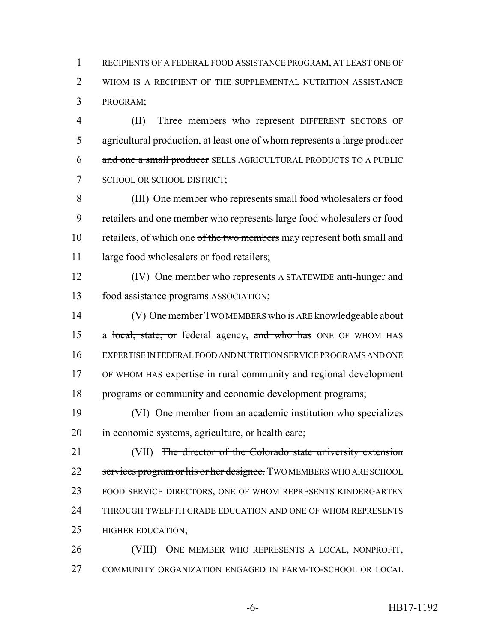RECIPIENTS OF A FEDERAL FOOD ASSISTANCE PROGRAM, AT LEAST ONE OF WHOM IS A RECIPIENT OF THE SUPPLEMENTAL NUTRITION ASSISTANCE PROGRAM;

 (II) Three members who represent DIFFERENT SECTORS OF 5 agricultural production, at least one of whom represents a large producer and one a small producer SELLS AGRICULTURAL PRODUCTS TO A PUBLIC SCHOOL OR SCHOOL DISTRICT;

 (III) One member who represents small food wholesalers or food retailers and one member who represents large food wholesalers or food 10 retailers, of which one of the two members may represent both small and 11 large food wholesalers or food retailers;

12 (IV) One member who represents A STATEWIDE anti-hunger and 13 food assistance programs ASSOCIATION;

14 (V) One member TWO MEMBERS who is ARE knowledgeable about 15 a local, state, or federal agency, and who has ONE OF WHOM HAS EXPERTISE IN FEDERAL FOOD AND NUTRITION SERVICE PROGRAMS AND ONE OF WHOM HAS expertise in rural community and regional development programs or community and economic development programs;

 (VI) One member from an academic institution who specializes in economic systems, agriculture, or health care;

21 (VII) The director of the Colorado state university extension 22 services program or his or her designee. TWO MEMBERS WHO ARE SCHOOL FOOD SERVICE DIRECTORS, ONE OF WHOM REPRESENTS KINDERGARTEN 24 THROUGH TWELFTH GRADE EDUCATION AND ONE OF WHOM REPRESENTS HIGHER EDUCATION;

 (VIII) ONE MEMBER WHO REPRESENTS A LOCAL, NONPROFIT, COMMUNITY ORGANIZATION ENGAGED IN FARM-TO-SCHOOL OR LOCAL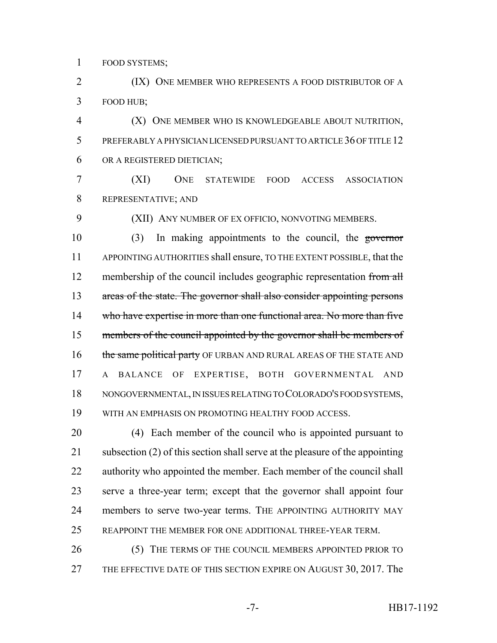FOOD SYSTEMS;

**(IX)** ONE MEMBER WHO REPRESENTS A FOOD DISTRIBUTOR OF A FOOD HUB;

 (X) ONE MEMBER WHO IS KNOWLEDGEABLE ABOUT NUTRITION, PREFERABLY A PHYSICIAN LICENSED PURSUANT TO ARTICLE 36 OF TITLE 12 OR A REGISTERED DIETICIAN;

 (XI) ONE STATEWIDE FOOD ACCESS ASSOCIATION REPRESENTATIVE; AND

(XII) ANY NUMBER OF EX OFFICIO, NONVOTING MEMBERS.

 (3) In making appointments to the council, the governor APPOINTING AUTHORITIES shall ensure, TO THE EXTENT POSSIBLE, that the 12 membership of the council includes geographic representation from all areas of the state. The governor shall also consider appointing persons 14 who have expertise in more than one functional area. No more than five 15 members of the council appointed by the governor shall be members of 16 the same political party OF URBAN AND RURAL AREAS OF THE STATE AND A BALANCE OF EXPERTISE, BOTH GOVERNMENTAL AND NONGOVERNMENTAL, IN ISSUES RELATING TO COLORADO'S FOOD SYSTEMS, WITH AN EMPHASIS ON PROMOTING HEALTHY FOOD ACCESS.

 (4) Each member of the council who is appointed pursuant to subsection (2) of this section shall serve at the pleasure of the appointing authority who appointed the member. Each member of the council shall serve a three-year term; except that the governor shall appoint four members to serve two-year terms. THE APPOINTING AUTHORITY MAY REAPPOINT THE MEMBER FOR ONE ADDITIONAL THREE-YEAR TERM.

 (5) THE TERMS OF THE COUNCIL MEMBERS APPOINTED PRIOR TO 27 THE EFFECTIVE DATE OF THIS SECTION EXPIRE ON AUGUST 30, 2017. The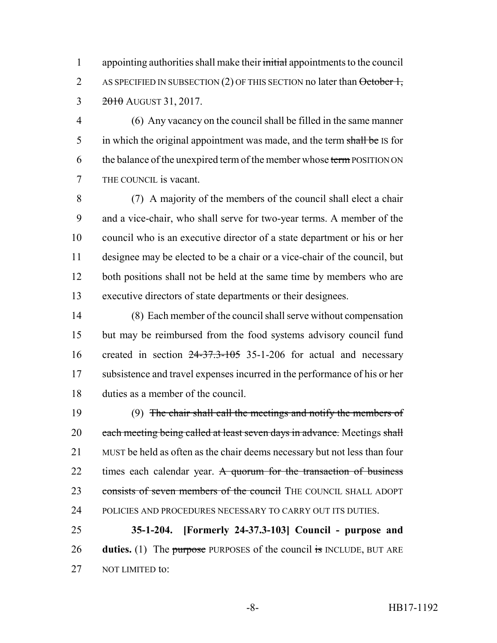1 appointing authorities shall make their initial appointments to the council 2 AS SPECIFIED IN SUBSECTION (2) OF THIS SECTION no later than  $\Theta$ ctober 1, 3 2010 AUGUST 31, 2017.

 (6) Any vacancy on the council shall be filled in the same manner 5 in which the original appointment was made, and the term shall be IS for 6 the balance of the unexpired term of the member whose term POSITION ON THE COUNCIL is vacant.

 (7) A majority of the members of the council shall elect a chair and a vice-chair, who shall serve for two-year terms. A member of the council who is an executive director of a state department or his or her designee may be elected to be a chair or a vice-chair of the council, but 12 both positions shall not be held at the same time by members who are executive directors of state departments or their designees.

 (8) Each member of the council shall serve without compensation but may be reimbursed from the food systems advisory council fund created in section 24-37.3-105 35-1-206 for actual and necessary subsistence and travel expenses incurred in the performance of his or her duties as a member of the council.

 (9) The chair shall call the meetings and notify the members of 20 each meeting being called at least seven days in advance. Meetings shall MUST be held as often as the chair deems necessary but not less than four 22 times each calendar year. A quorum for the transaction of business 23 consists of seven members of the council THE COUNCIL SHALL ADOPT POLICIES AND PROCEDURES NECESSARY TO CARRY OUT ITS DUTIES.

 **35-1-204. [Formerly 24-37.3-103] Council - purpose and duties.** (1) The purpose PURPOSES of the council is INCLUDE, BUT ARE 27 NOT LIMITED to: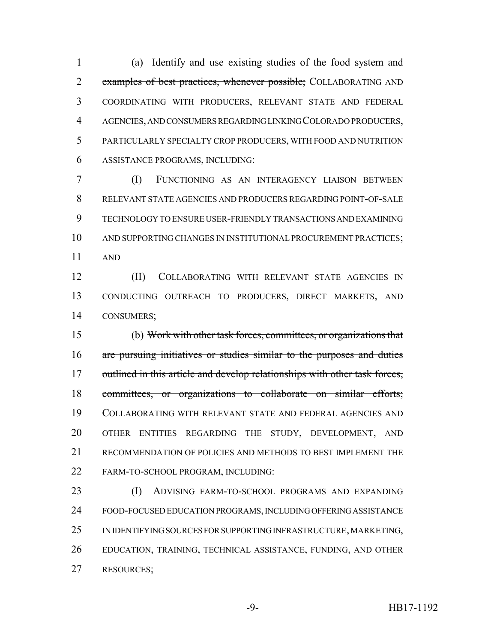(a) Identify and use existing studies of the food system and 2 examples of best practices, whenever possible; COLLABORATING AND COORDINATING WITH PRODUCERS, RELEVANT STATE AND FEDERAL AGENCIES, AND CONSUMERS REGARDING LINKING COLORADO PRODUCERS, PARTICULARLY SPECIALTY CROP PRODUCERS, WITH FOOD AND NUTRITION ASSISTANCE PROGRAMS, INCLUDING:

 (I) FUNCTIONING AS AN INTERAGENCY LIAISON BETWEEN RELEVANT STATE AGENCIES AND PRODUCERS REGARDING POINT-OF-SALE TECHNOLOGY TO ENSURE USER-FRIENDLY TRANSACTIONS AND EXAMINING AND SUPPORTING CHANGES IN INSTITUTIONAL PROCUREMENT PRACTICES; AND

 (II) COLLABORATING WITH RELEVANT STATE AGENCIES IN CONDUCTING OUTREACH TO PRODUCERS, DIRECT MARKETS, AND CONSUMERS;

 (b) Work with other task forces, committees, or organizations that are pursuing initiatives or studies similar to the purposes and duties 17 outlined in this article and develop relationships with other task forces, committees, or organizations to collaborate on similar efforts; COLLABORATING WITH RELEVANT STATE AND FEDERAL AGENCIES AND OTHER ENTITIES REGARDING THE STUDY, DEVELOPMENT, AND RECOMMENDATION OF POLICIES AND METHODS TO BEST IMPLEMENT THE FARM-TO-SCHOOL PROGRAM, INCLUDING:

 (I) ADVISING FARM-TO-SCHOOL PROGRAMS AND EXPANDING FOOD-FOCUSED EDUCATION PROGRAMS, INCLUDING OFFERING ASSISTANCE IN IDENTIFYING SOURCES FOR SUPPORTING INFRASTRUCTURE, MARKETING, EDUCATION, TRAINING, TECHNICAL ASSISTANCE, FUNDING, AND OTHER RESOURCES;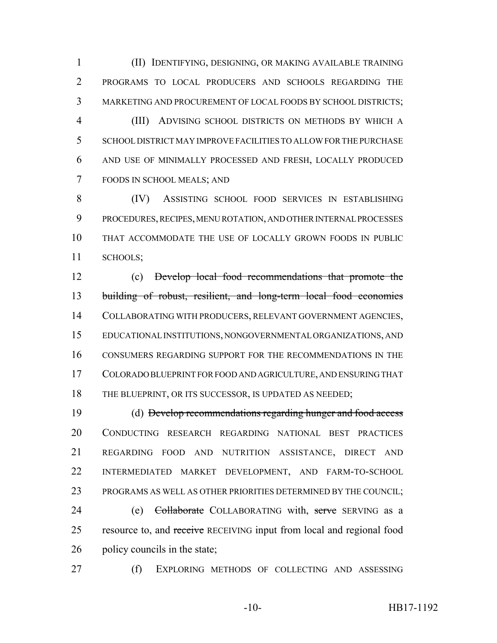(II) IDENTIFYING, DESIGNING, OR MAKING AVAILABLE TRAINING PROGRAMS TO LOCAL PRODUCERS AND SCHOOLS REGARDING THE MARKETING AND PROCUREMENT OF LOCAL FOODS BY SCHOOL DISTRICTS; (III) ADVISING SCHOOL DISTRICTS ON METHODS BY WHICH A SCHOOL DISTRICT MAY IMPROVE FACILITIES TO ALLOW FOR THE PURCHASE AND USE OF MINIMALLY PROCESSED AND FRESH, LOCALLY PRODUCED FOODS IN SCHOOL MEALS; AND

 (IV) ASSISTING SCHOOL FOOD SERVICES IN ESTABLISHING PROCEDURES, RECIPES, MENU ROTATION, AND OTHER INTERNAL PROCESSES THAT ACCOMMODATE THE USE OF LOCALLY GROWN FOODS IN PUBLIC SCHOOLS;

 (c) Develop local food recommendations that promote the building of robust, resilient, and long-term local food economies COLLABORATING WITH PRODUCERS, RELEVANT GOVERNMENT AGENCIES, EDUCATIONAL INSTITUTIONS, NONGOVERNMENTAL ORGANIZATIONS, AND CONSUMERS REGARDING SUPPORT FOR THE RECOMMENDATIONS IN THE COLORADO BLUEPRINT FOR FOOD AND AGRICULTURE, AND ENSURING THAT 18 THE BLUEPRINT, OR ITS SUCCESSOR, IS UPDATED AS NEEDED;

 (d) Develop recommendations regarding hunger and food access CONDUCTING RESEARCH REGARDING NATIONAL BEST PRACTICES REGARDING FOOD AND NUTRITION ASSISTANCE, DIRECT AND INTERMEDIATED MARKET DEVELOPMENT, AND FARM-TO-SCHOOL PROGRAMS AS WELL AS OTHER PRIORITIES DETERMINED BY THE COUNCIL;

24 (e) Collaborate COLLABORATING with, serve SERVING as a 25 resource to, and receive RECEIVING input from local and regional food policy councils in the state;

(f) EXPLORING METHODS OF COLLECTING AND ASSESSING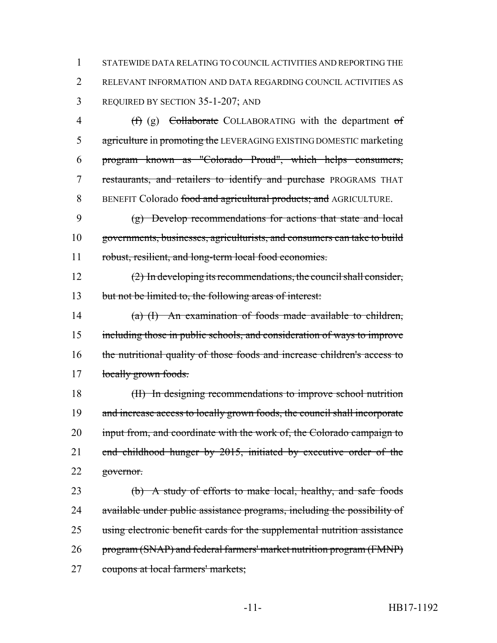STATEWIDE DATA RELATING TO COUNCIL ACTIVITIES AND REPORTING THE RELEVANT INFORMATION AND DATA REGARDING COUNCIL ACTIVITIES AS REQUIRED BY SECTION 35-1-207; AND

4 (f) (g) Collaborate COLLABORATING with the department of 5 agriculture in promoting the LEVERAGING EXISTING DOMESTIC marketing program known as "Colorado Proud", which helps consumers, 7 restaurants, and retailers to identify and purchase PROGRAMS THAT 8 BENEFIT Colorado food and agricultural products; and AGRICULTURE.

 (g) Develop recommendations for actions that state and local governments, businesses, agriculturists, and consumers can take to build robust, resilient, and long-term local food economies.

 (2) In developing its recommendations, the council shall consider, but not be limited to, the following areas of interest:

 (a) (I) An examination of foods made available to children, including those in public schools, and consideration of ways to improve the nutritional quality of those foods and increase children's access to 17 locally grown foods.

 (II) In designing recommendations to improve school nutrition 19 and increase access to locally grown foods, the council shall incorporate 20 input from, and coordinate with the work of, the Colorado campaign to 21 end childhood hunger by 2015, initiated by executive order of the 22 governor.

 (b) A study of efforts to make local, healthy, and safe foods 24 available under public assistance programs, including the possibility of using electronic benefit cards for the supplemental nutrition assistance program (SNAP) and federal farmers' market nutrition program (FMNP) coupons at local farmers' markets;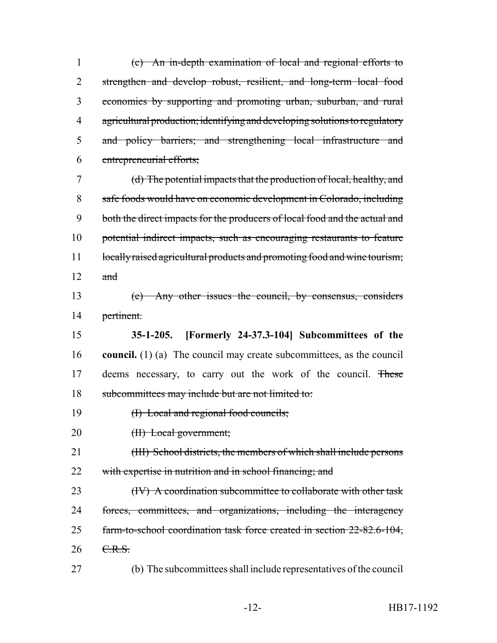(c) An in-depth examination of local and regional efforts to 2 strengthen and develop robust, resilient, and long-term local food economies by supporting and promoting urban, suburban, and rural agricultural production; identifying and developing solutions to regulatory and policy barriers; and strengthening local infrastructure and entrepreneurial efforts;

 (d) The potential impacts that the production of local, healthy, and safe foods would have on economic development in Colorado, including both the direct impacts for the producers of local food and the actual and potential indirect impacts, such as encouraging restaurants to feature 11 locally raised agricultural products and promoting food and wine tourism; and

 (e) Any other issues the council, by consensus, considers pertinent.

 **35-1-205. [Formerly 24-37.3-104] Subcommittees of the council.** (1) (a) The council may create subcommittees, as the council 17 deems necessary, to carry out the work of the council. These subcommittees may include but are not limited to:

- 19 (I) Local and regional food councils;
- 20 (II) Local government;

21 (III) School districts, the members of which shall include persons 22 with expertise in nutrition and in school financing; and

23 (IV) A coordination subcommittee to collaborate with other task forces, committees, and organizations, including the interagency farm-to-school coordination task force created in section 22-82.6-104, 26 C.R.S.

(b) The subcommittees shall include representatives of the council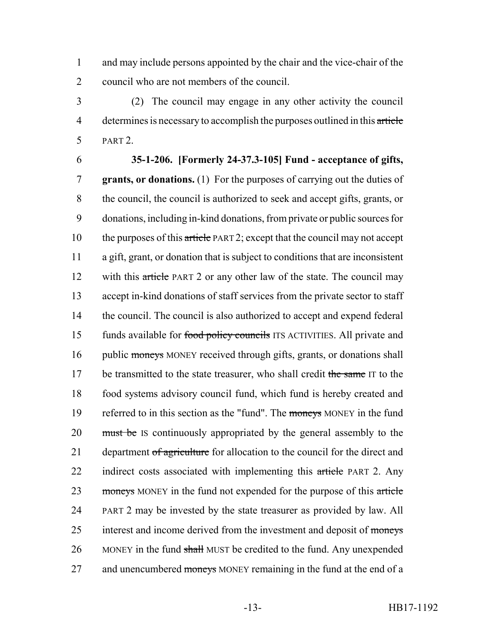1 and may include persons appointed by the chair and the vice-chair of the 2 council who are not members of the council.

3 (2) The council may engage in any other activity the council 4 determines is necessary to accomplish the purposes outlined in this article 5 PART 2.

### 6 **35-1-206. [Formerly 24-37.3-105] Fund - acceptance of gifts,**

7 **grants, or donations.** (1) For the purposes of carrying out the duties of 8 the council, the council is authorized to seek and accept gifts, grants, or 9 donations, including in-kind donations, from private or public sources for 10 the purposes of this article PART 2; except that the council may not accept 11 a gift, grant, or donation that is subject to conditions that are inconsistent 12 with this article PART 2 or any other law of the state. The council may 13 accept in-kind donations of staff services from the private sector to staff 14 the council. The council is also authorized to accept and expend federal 15 funds available for food policy councils ITS ACTIVITIES. All private and 16 public moneys MONEY received through gifts, grants, or donations shall 17 be transmitted to the state treasurer, who shall credit the same IT to the 18 food systems advisory council fund, which fund is hereby created and 19 referred to in this section as the "fund". The moneys MONEY in the fund 20 must be IS continuously appropriated by the general assembly to the 21 department of agriculture for allocation to the council for the direct and 22 indirect costs associated with implementing this article PART 2. Any 23 moneys MONEY in the fund not expended for the purpose of this article 24 PART 2 may be invested by the state treasurer as provided by law. All 25 interest and income derived from the investment and deposit of moneys 26 MONEY in the fund shall MUST be credited to the fund. Any unexpended 27 and unencumbered moneys MONEY remaining in the fund at the end of a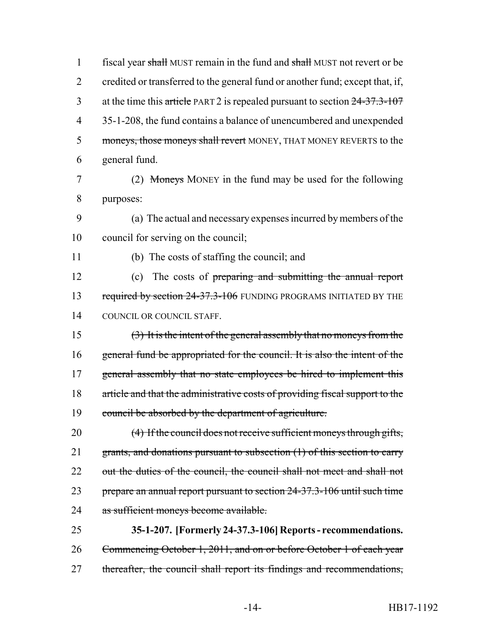1 fiscal year shall MUST remain in the fund and shall MUST not revert or be 2 credited or transferred to the general fund or another fund; except that, if, 3 at the time this article PART 2 is repealed pursuant to section  $24-37.3-107$ 4 35-1-208, the fund contains a balance of unencumbered and unexpended 5 moneys, those moneys shall revert MONEY, THAT MONEY REVERTS to the 6 general fund.

7 (2) Moneys MONEY in the fund may be used for the following 8 purposes:

9 (a) The actual and necessary expenses incurred by members of the 10 council for serving on the council;

11 (b) The costs of staffing the council; and

12 (c) The costs of preparing and submitting the annual report 13 required by section 24-37.3-106 FUNDING PROGRAMS INITIATED BY THE 14 COUNCIL OR COUNCIL STAFF.

 (3) It is the intent of the general assembly that no moneys from the general fund be appropriated for the council. It is also the intent of the 17 general assembly that no state employees be hired to implement this article and that the administrative costs of providing fiscal support to the council be absorbed by the department of agriculture.

20 (4) If the council does not receive sufficient moneys through gifts, 21 grants, and donations pursuant to subsection (1) of this section to carry 22 out the duties of the council, the council shall not meet and shall not 23 prepare an annual report pursuant to section 24-37.3-106 until such time 24 as sufficient moneys become available.

25 **35-1-207. [Formerly 24-37.3-106] Reports - recommendations.** 26 Commencing October 1, 2011, and on or before October 1 of each year 27 thereafter, the council shall report its findings and recommendations,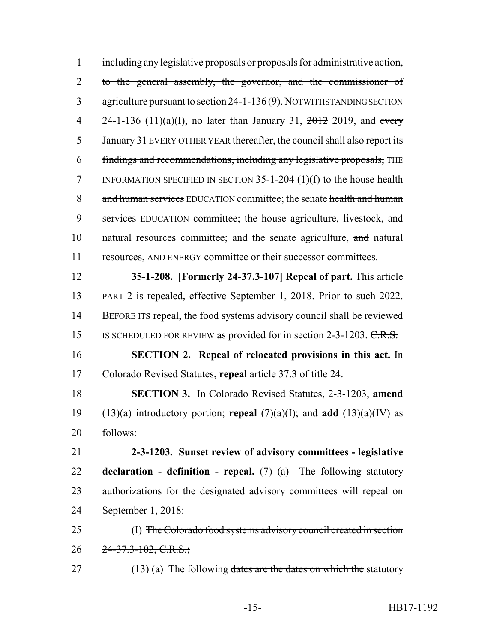including any legislative proposals or proposals for administrative action, 2 to the general assembly, the governor, and the commissioner of 3 agriculture pursuant to section 24-1-136(9). NOTWITHSTANDING SECTION 4 24-1-136 (11)(a)(I), no later than January 31,  $\frac{2012}{2019}$ , and every 5 January 31 EVERY OTHER YEAR thereafter, the council shall also report its findings and recommendations, including any legislative proposals, THE 7 INFORMATION SPECIFIED IN SECTION -1-204 (1)(f) to the house health 8 and human services EDUCATION committee; the senate health and human services EDUCATION committee; the house agriculture, livestock, and natural resources committee; and the senate agriculture, and natural resources, AND ENERGY committee or their successor committees. **35-1-208. [Formerly 24-37.3-107] Repeal of part.** This article

13 PART 2 is repealed, effective September 1, 2018. Prior to such 2022. 14 BEFORE ITS repeal, the food systems advisory council shall be reviewed 15 IS SCHEDULED FOR REVIEW as provided for in section 2-3-1203. C.R.S.

 **SECTION 2. Repeal of relocated provisions in this act.** In Colorado Revised Statutes, **repeal** article 37.3 of title 24.

 **SECTION 3.** In Colorado Revised Statutes, 2-3-1203, **amend** (13)(a) introductory portion; **repeal** (7)(a)(I); and **add** (13)(a)(IV) as follows:

 **2-3-1203. Sunset review of advisory committees - legislative declaration - definition - repeal.** (7) (a) The following statutory authorizations for the designated advisory committees will repeal on September 1, 2018:

 (I) The Colorado food systems advisory council created in section 26  $24 - 37.3 - 102, C.R.S.$ ;

27 (13) (a) The following dates are the dates on which the statutory